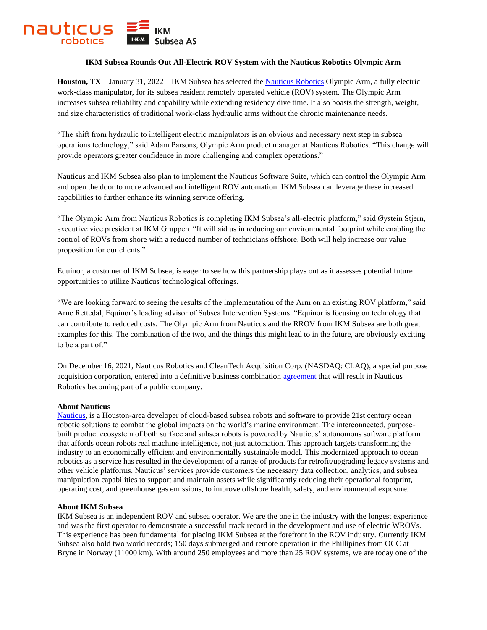

## **IKM Subsea Rounds Out All-Electric ROV System with the Nauticus Robotics Olympic Arm**

**Houston, TX** – January 31, 2022 – IKM Subsea has selected th[e Nauticus Robotics](https://nauticusrobotics.com/) Olympic Arm, a fully electric work-class manipulator, for its subsea resident remotely operated vehicle (ROV) system. The Olympic Arm increases subsea reliability and capability while extending residency dive time. It also boasts the strength, weight, and size characteristics of traditional work-class hydraulic arms without the chronic maintenance needs.

"The shift from hydraulic to intelligent electric manipulators is an obvious and necessary next step in subsea operations technology," said Adam Parsons, Olympic Arm product manager at Nauticus Robotics. "This change will provide operators greater confidence in more challenging and complex operations."

Nauticus and IKM Subsea also plan to implement the Nauticus Software Suite, which can control the Olympic Arm and open the door to more advanced and intelligent ROV automation. IKM Subsea can leverage these increased capabilities to further enhance its winning service offering.

"The Olympic Arm from Nauticus Robotics is completing IKM Subsea's all-electric platform," said Øystein Stjern, executive vice president at IKM Gruppen. "It will aid us in reducing our environmental footprint while enabling the control of ROVs from shore with a reduced number of technicians offshore. Both will help increase our value proposition for our clients."

Equinor, a customer of IKM Subsea, is eager to see how this partnership plays out as it assesses potential future opportunities to utilize Nauticus' technological offerings.

"We are looking forward to seeing the results of the implementation of the Arm on an existing ROV platform," said Arne Rettedal, Equinor's leading advisor of Subsea Intervention Systems. "Equinor is focusing on technology that can contribute to reduced costs. The Olympic Arm from Nauticus and the RROV from IKM Subsea are both great examples for this. The combination of the two, and the things this might lead to in the future, are obviously exciting to be a part of."

On December 16, 2021, Nauticus Robotics and CleanTech Acquisition Corp. (NASDAQ: CLAQ), a special purpose acquisition corporation, entered into a definitive business combination [agreement](https://www.globenewswire.com/news-release/2021/12/17/2354396/0/en/Nauticus-Robotics-a-Developer-of-Cloud-Based-AI-Software-to-Power-its-Ocean-Robots-and-Services-to-Become-a-Publicly-Traded-Company-Via-Merger-with-CleanTech-Acquisition-Corp.html) that will result in Nauticus Robotics becoming part of a public company.

## **About Nauticus**

[Nauticus,](https://nauticusrobotics.com/) is a Houston-area developer of cloud-based subsea robots and software to provide 21st century ocean robotic solutions to combat the global impacts on the world's marine environment. The interconnected, purposebuilt product ecosystem of both surface and subsea robots is powered by Nauticus' autonomous software platform that affords ocean robots real machine intelligence, not just automation. This approach targets transforming the industry to an economically efficient and environmentally sustainable model. This modernized approach to ocean robotics as a service has resulted in the development of a range of products for retrofit/upgrading legacy systems and other vehicle platforms. Nauticus' services provide customers the necessary data collection, analytics, and subsea manipulation capabilities to support and maintain assets while significantly reducing their operational footprint, operating cost, and greenhouse gas emissions, to improve offshore health, safety, and environmental exposure.

## **About IKM Subsea**

IKM Subsea is an independent ROV and subsea operator. We are the one in the industry with the longest experience and was the first operator to demonstrate a successful track record in the development and use of electric WROVs. This experience has been fundamental for placing IKM Subsea at the forefront in the ROV industry. Currently IKM Subsea also hold two world records; 150 days submerged and remote operation in the Phillipines from OCC at Bryne in Norway (11000 km). With around 250 employees and more than 25 ROV systems, we are today one of the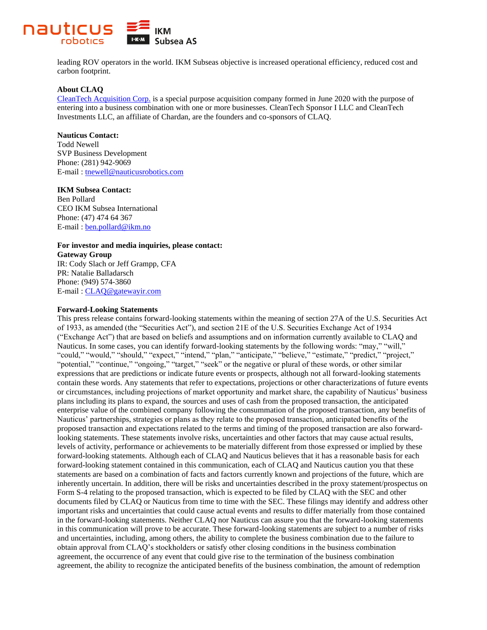

leading ROV operators in the world. IKM Subseas objective is increased operational efficiency, reduced cost and carbon footprint.

## **About CLAQ**

[CleanTech Acquisition Corp.](https://www.cleantechac.com/) is a special purpose acquisition company formed in June 2020 with the purpose of entering into a business combination with one or more businesses. CleanTech Sponsor I LLC and CleanTech Investments LLC, an affiliate of Chardan, are the founders and co-sponsors of CLAQ.

## **Nauticus Contact:**

Todd Newell SVP Business Development Phone: (281) 942-9069 E-mail : [tnewell@nauticusrobotics.com](mailto:tnewell@nauticusrobotics.com)

### **IKM Subsea Contact:**

Ben Pollard CEO IKM Subsea International Phone: (47) 474 64 367 E-mail : [ben.pollard@ikm.no](mailto:ben.pollard@ikm.no)

# **For investor and media inquiries, please contact:**

**Gateway Group** IR: Cody Slach or Jeff Grampp, CFA PR: Natalie Balladarsch Phone: (949) 574-3860 E-mail : [CLAQ@gatewayir.com](mailto:CLAQ@gatewayir.com)

### **Forward-Looking Statements**

This press release contains forward-looking statements within the meaning of section 27A of the U.S. Securities Act of 1933, as amended (the "Securities Act"), and section 21E of the U.S. Securities Exchange Act of 1934 ("Exchange Act") that are based on beliefs and assumptions and on information currently available to CLAQ and Nauticus. In some cases, you can identify forward-looking statements by the following words: "may," "will," "could," "would," "should," "expect," "intend," "plan," "anticipate," "believe," "estimate," "predict," "project," "potential," "continue," "ongoing," "target," "seek" or the negative or plural of these words, or other similar expressions that are predictions or indicate future events or prospects, although not all forward-looking statements contain these words. Any statements that refer to expectations, projections or other characterizations of future events or circumstances, including projections of market opportunity and market share, the capability of Nauticus' business plans including its plans to expand, the sources and uses of cash from the proposed transaction, the anticipated enterprise value of the combined company following the consummation of the proposed transaction, any benefits of Nauticus' partnerships, strategies or plans as they relate to the proposed transaction, anticipated benefits of the proposed transaction and expectations related to the terms and timing of the proposed transaction are also forwardlooking statements. These statements involve risks, uncertainties and other factors that may cause actual results, levels of activity, performance or achievements to be materially different from those expressed or implied by these forward-looking statements. Although each of CLAQ and Nauticus believes that it has a reasonable basis for each forward-looking statement contained in this communication, each of CLAQ and Nauticus caution you that these statements are based on a combination of facts and factors currently known and projections of the future, which are inherently uncertain. In addition, there will be risks and uncertainties described in the proxy statement/prospectus on Form S-4 relating to the proposed transaction, which is expected to be filed by CLAQ with the SEC and other documents filed by CLAQ or Nauticus from time to time with the SEC. These filings may identify and address other important risks and uncertainties that could cause actual events and results to differ materially from those contained in the forward-looking statements. Neither CLAQ nor Nauticus can assure you that the forward-looking statements in this communication will prove to be accurate. These forward-looking statements are subject to a number of risks and uncertainties, including, among others, the ability to complete the business combination due to the failure to obtain approval from CLAQ's stockholders or satisfy other closing conditions in the business combination agreement, the occurrence of any event that could give rise to the termination of the business combination agreement, the ability to recognize the anticipated benefits of the business combination, the amount of redemption